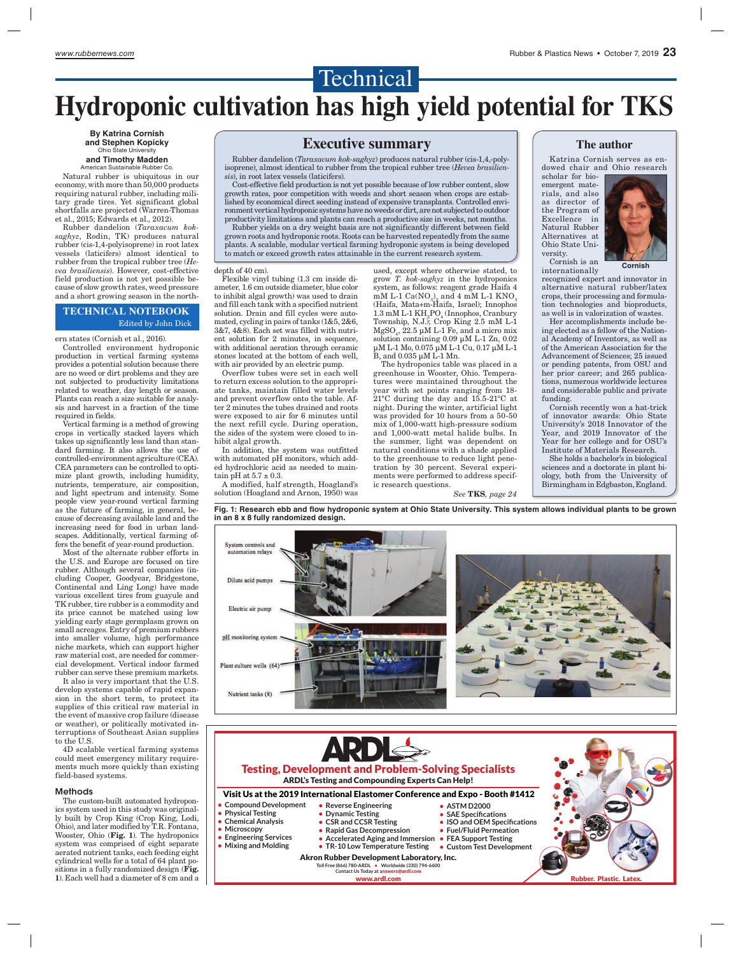## Technical -**Hydroponic cultivation has high yield potential for TKS**

**By Katrina Cornish and Stephen Kopicky** Ohio State University

#### **and Timothy Madden** American Sustainable Rubber Co.

Natural rubber is ubiquitous in our economy, with more than 50,000 products requiring natural rubber, including military grade tires. Yet significant global shortfalls are projected (Warren-Thomas et al., 2015; Edwards et al., 2012).

Rubber dandelion (*Taraxacum koksaghyz*, Rodin, TK) produces natural rubber (cis-1,4-polyisoprene) in root latex vessels (laticifers) almost identical to rubber from the tropical rubber tree (*Hevea brasiliensis*). However, cost-effective field production is not yet possible because of slow growth rates, weed pressure and a short growing season in the north-

#### **TECHNICAL NOTEBOOK** Edited by John Dick

ern states (Cornish et al., 2016).

Controlled environment hydroponic production in vertical farming systems provides a potential solution because there are no weed or dirt problems and they are not subjected to productivity limitations related to weather, day length or season. Plants can reach a size suitable for analysis and harvest in a fraction of the time required in fields.

Vertical farming is a method of growing crops in vertically stacked layers which takes up significantly less land than standard farming. It also allows the use of controlled-environment agriculture (CEA). CEA parameters can be controlled to optimize plant growth, including humidity, nutrients, temperature, air composition, and light spectrum and intensity. Some people view year-round vertical farming as the future of farming, in general, because of decreasing available land and the increasing need for food in urban landscapes. Additionally, vertical farming offers the benefit of year-round production.

Most of the alternate rubber efforts in the U.S. and Europe are focused on tire rubber. Although several companies (including Cooper, Goodyear, Bridgestone, Continental and Ling Long) have made various excellent tires from guayule and TK rubber, tire rubber is a commodity and its price cannot be matched using low yielding early stage germplasm grown on small acreages. Entry of premium rubbers into smaller volume, high performance niche markets, which can support higher raw material cost, are needed for commercial development. Vertical indoor farmed rubber can serve these premium markets.

It also is very important that the U.S. develop systems capable of rapid expansion in the short term, to protect its supplies of this critical raw material in the event of massive crop failure (disease or weather), or politically motivated interruptions of Southeast Asian supplies to the U.S.

4D scalable vertical farming systems could meet emergency military requirements much more quickly than existing field-based systems.

#### Methods

The custom-built automated hydroponics system used in this study was originally built by Crop King (Crop King, Lodi, Ohio), and later modified by T.R. Fontana, Wooster, Ohio (Fig. 1). The hydroponics system was comprised of eight separate aerated nutrient tanks, each feeding eight cylindrical wells for a total of 64 plant positions in a fully randomized design (Fig. 1). Each well had a diameter of 8 cm and a

### **Executive summary**

Rubber dandelion (*Taraxacum kok-saghyz*) produces natural rubber (cis-1,4,-polyisoprene), almost identical to rubber from the tropical rubber tree (*Hevea brasiliensis*), in root latex vessels (laticifers).

Cost-effective field production is not yet possible because of low rubber content, slow growth rates, poor competition with weeds and short season when crops are established by economical direct seeding instead of expensive transplants. Controlled environment vertical hydroponic systems have no weeds or dirt, are not subjected to outdoor productivity limitations and plants can reach a productive size in weeks, not months.

Rubber yields on a dry weight basis are not significantly different between field grown roots and hydroponic roots. Roots can be harvested repeatedly from the same plants. A scalable, modular vertical farming hydroponic system is being developed to match or exceed growth rates attainable in the current research system.

#### depth of 40 cm).

Flexible vinyl tubing (1.3 cm inside diameter, 1.6 cm outside diameter, blue color to inhibit algal growth) was used to drain and fill each tank with a specified nutrient solution. Drain and fill cycles were automated, cycling in pairs of tanks (1&5, 2&6, 3&7, 4&8). Each set was filled with nutrient solution for 2 minutes, in sequence, with additional aeration through ceramic stones located at the bottom of each well, with air provided by an electric pump.

Overflow tubes were set in each well to return excess solution to the appropriate tanks, maintain filled water levels and prevent overflow onto the table. After 2 minutes the tubes drained and roots were exposed to air for 6 minutes until the next refill cycle. During operation, the sides of the system were closed to inhibit algal growth.

In addition, the system was outfitted with automated pH monitors, which added hydrochloric acid as needed to maintain pH at  $5.7 \pm 0.3$ .

A modified, half strength, Hoagland's solution (Hoagland and Arnon, 1950) was

used, except where otherwise stated, to grow *T. kok-saghyz* in the hydroponics system, as follows: reagent grade Haifa 4  $\text{mM L-1 Ca(NO}_{3)_{2}}$  and 4 mM L-1 KNO<sub>3</sub> (Haifa, Mata+m-Haifa, Israel); Innophos  $1.3 \text{ mM L-1 }\text{KH}_{2}\text{PO}_{4}$  (Innophos, Cranbury Township, N.J.); Crop King 2.5 mM L-1  $MgSO<sub>4</sub>$ , 22.5 μM L-1 Fe, and a micro mix solution containing 0.09 μM L-1 Zn, 0.02 μM L-1 Mo, 0.075 μM L-1 Cu, 0.17 μM L-1 B, and 0.035 μM L-1 Mn.

The hydroponics table was placed in a greenhouse in Wooster, Ohio. Temperatures were maintained throughout the year with set points ranging from 18- 21°C during the day and 15.5-21°C at night. During the winter, artificial light was provided for 10 hours from a 50-50 mix of 1,000-watt high-pressure sodium and 1,000-watt metal halide bulbs. In the summer, light was dependent on natural conditions with a shade applied to the greenhouse to reduce light penetration by 30 percent. Several experiments were performed to address specific research questions.

*See* TKS*, page 24*



Katrina Cornish serves as endowed chair and Ohio research

scholar for bioemergent materials, and also as director of the Program of Excellence in Natural Rubber Alternatives at Ohio State University. Cornish is an



internationally

recognized expert and innovator in alternative natural rubber/latex crops, their processing and formulation technologies and bioproducts, as well is in valorization of wastes.

Her accomplishments include being elected as a fellow of the National Academy of Inventors, as well as of the American Association for the Advancement of Sciences; 25 issued or pending patents, from OSU and her prior career; and 265 publications, numerous worldwide lectures and considerable public and private funding.

Cornish recently won a hat-trick of innovator awards: Ohio State University's 2018 Innovator of the Year, and 2019 Innovator of the Year for her college and for OSU's Institute of Materials Research.

She holds a bachelor's in biological sciences and a doctorate in plant biology, both from the University of Birmingham in Edgbaston, England.

**Fig. 1: Research ebb and flow hydroponic system at Ohio State University. This system allows individual plants to be grown in an 8 x 8 fully randomized design.**



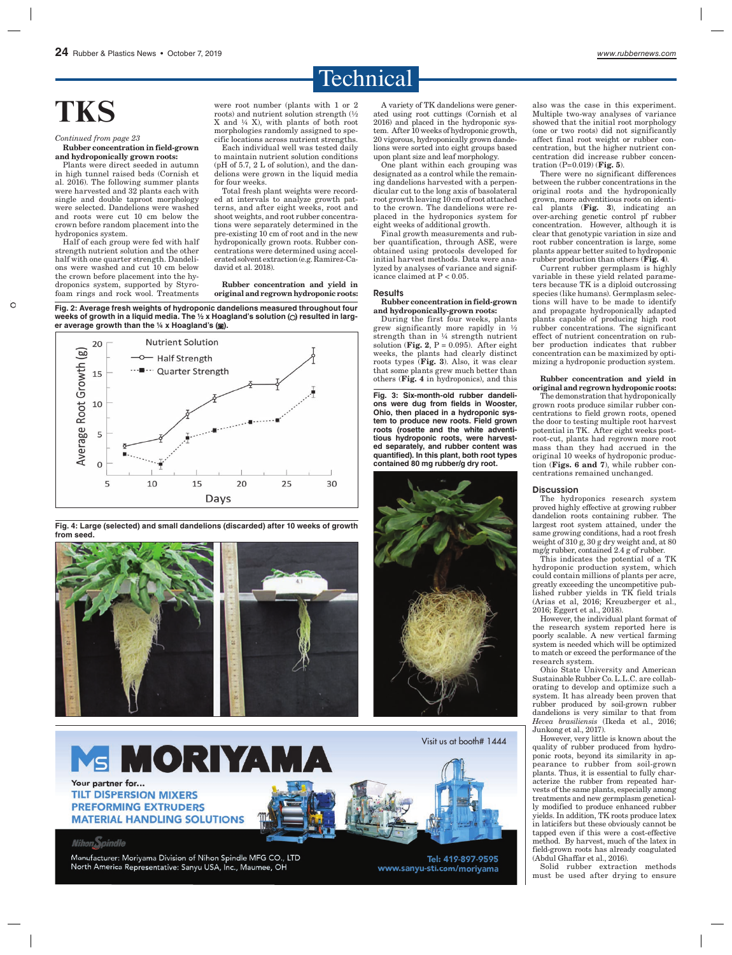

# **TKS**

Rubber concentration in field-grown *Continued from page 23*

and hydroponically grown roots: Plants were direct seeded in autumn

in high tunnel raised beds (Cornish et al. 2016). The following summer plants were harvested and 32 plants each with single and double taproot morphology were selected. Dandelions were washed and roots were cut 10 cm below the crown before random placement into the hydroponics system.

Half of each group were fed with half strength nutrient solution and the other half with one quarter strength. Dandelions were washed and cut 10 cm below the crown before placement into the hydroponics system, supported by Styrofoam rings and rock wool. Treatments were root number (plants with 1 or 2 roots) and nutrient solution strength (½ X and ¼ X), with plants of both root morphologies randomly assigned to specific locations across nutrient strengths.

Each individual well was tested daily to maintain nutrient solution conditions (pH of 5.7, 2 L of solution), and the dandelions were grown in the liquid media for four weeks.

Total fresh plant weights were recorded at intervals to analyze growth patterns, and after eight weeks, root and shoot weights, and root rubber concentrations were separately determined in the pre-existing 10 cm of root and in the new hydroponically grown roots. Rubber concentrations were determined using accelerated solvent extraction (e.g. Ramirez-Cadavid et al. 2018).

Rubber concentration and yield in original and regrown hydroponic roots:

**Fig. 2: Average fresh weights of hydroponic dandelions measured throughout four**  weeks of growth in a liquid media. The 1/2 x Hoagland's solution (O) resulted in larg**er average growth than the ¼ x Hoagland's ( ).**





**Fig. 4: Large (selected) and small dandelions (discarded) after 10 weeks of growth from seed.**

Visit us at booth# 1444 **MS MORIYAM** Your partner for... **TILT DISPERSION MIXERS PREFORMING EXTRUDERS MATERIAL HANDLING SOLUTIONS Nihon**Spindle

Manufacturer: Moriyama Division of Nihon Spindle MFG CO., LTD North America Representative: Sanyu USA, Inc., Maumee, OH

A variety of TK dandelions were generated using root cuttings (Cornish et al 2016) and placed in the hydroponic system. After 10 weeks of hydroponic growth, 20 vigorous, hydroponically grown dandelions were sorted into eight groups based upon plant size and leaf morphology.

One plant within each grouping was designated as a control while the remaining dandelions harvested with a perpendicular cut to the long axis of basolateral root growth leaving 10 cm of root attached to the crown. The dandelions were replaced in the hydroponics system for eight weeks of additional growth.

Final growth measurements and rubber quantification, through ASE, were obtained using protocols developed for initial harvest methods. Data were analyzed by analyses of variance and significance claimed at P < 0.05.

#### **Results**

#### Rubber concentration in field-grown and hydroponically-grown roots:

During the first four weeks, plants grew significantly more rapidly in ½ strength than in ¼ strength nutrient solution (Fig. 2, P =  $0.095$ ). After eight weeks, the plants had clearly distinct roots types (Fig. 3). Also, it was clear that some plants grew much better than others (Fig. 4 in hydroponics), and this

**Fig. 3: Six-month-old rubber dandelions were dug from fields in Wooster, Ohio, then placed in a hydroponic system to produce new roots. Field grown roots (rosette and the white adventitious hydroponic roots, were harvested separately, and rubber content was quantified). In this plant, both root types contained 80 mg rubber/g dry root.**



Tel: 419-897-9595 www.sanyu-sti.com/moriyama

also was the case in this experiment. Multiple two-way analyses of variance showed that the initial root morphology (one or two roots) did not significantly affect final root weight or rubber concentration, but the higher nutrient concentration did increase rubber concentration  $(P=0.019)$  (Fig. 5).

There were no significant differences between the rubber concentrations in the original roots and the hydroponically grown, more adventitious roots on identical plants  $(Fig. 3)$ , indicating an over-arching genetic control pf rubber concentration. However, although it is clear that genotypic variation in size and root rubber concentration is large, some plants appear better suited to hydroponic rubber production than others  $(Fig. 4)$ .

Current rubber germplasm is highly variable in these yield related parameters because TK is a diploid outcrossing species (like humans). Germplasm selections will have to be made to identify and propagate hydroponically adapted plants capable of producing high root rubber concentrations. The significant effect of nutrient concentration on rubber production indicates that rubber concentration can be maximized by optimizing a hydroponic production system.

#### Rubber concentration and yield in original and regrown hydroponic roots:

The demonstration that hydroponically grown roots produce similar rubber concentrations to field grown roots, opened the door to testing multiple root harvest potential in TK. After eight weeks postroot-cut, plants had regrown more root mass than they had accrued in the original 10 weeks of hydroponic production (Figs. 6 and 7), while rubber concentrations remained unchanged.

#### **Discussion**

The hydroponics research system proved highly effective at growing rubber dandelion roots containing rubber. The largest root system attained, under the same growing conditions, had a root fresh weight of 310 g, 30 g dry weight and, at 80 mg/g rubber, contained 2.4 g of rubber.

This indicates the potential of a TK hydroponic production system, which could contain millions of plants per acre, greatly exceeding the uncompetitive published rubber yields in TK field trials (Arias et al, 2016; Kreuzberger et al., 2016; Eggert et al., 2018).

However, the individual plant format of the research system reported here is poorly scalable. A new vertical farming system is needed which will be optimized to match or exceed the performance of the research system.

Ohio State University and American Sustainable Rubber Co. L.L.C. are collaborating to develop and optimize such a system. It has already been proven that rubber produced by soil-grown rubber dandelions is very similar to that from *Hevea brasiliensis* (Ikeda et al., 2016; Junkong et al., 2017).

However, very little is known about the quality of rubber produced from hydroponic roots, beyond its similarity in appearance to rubber from soil-grown plants. Thus, it is essential to fully characterize the rubber from repeated harvests of the same plants, especially among treatments and new germplasm genetically modified to produce enhanced rubber yields. In addition, TK roots produce latex in laticifers but these obviously cannot be tapped even if this were a cost-effective method. By harvest, much of the latex in field-grown roots has already coagulated (Abdul Ghaffar et al., 2016).

Solid rubber extraction methods must be used after drying to ensure